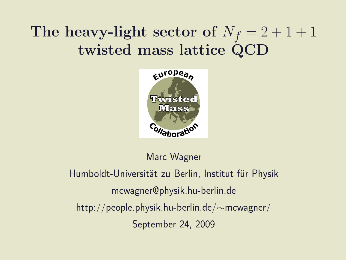## The heavy-light sector of  $N_f = 2 + 1 + 1$ twisted mass lattice QCD



Marc Wagner

Humboldt-Universität zu Berlin, Institut für Physik mcwagner@physik.hu-berlin.de http://people.physik.hu-berlin.de/∼mcwagner/ September 24, 2009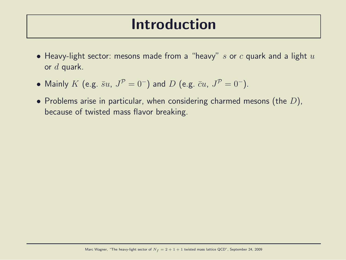#### Introduction

- Heavy-light sector: mesons made from a "heavy" s or c quark and a light  $u$ or  $d$  quark.
- Mainly  $K$  (e.g.  $\bar{s}u$ ,  $J^P=0^-$ ) and  $D$  (e.g.  $\bar{c}u$ ,  $J^P=0^-$ ).
- Problems arise in particular, when considering charmed mesons (the  $D$ ), because of twisted mass flavor breaking.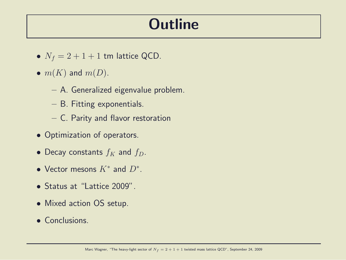#### **Outline**

- $N_f = 2 + 1 + 1$  tm lattice QCD.
- $m(K)$  and  $m(D)$ .
	- A. Generalized eigenvalue problem.
	- B. Fitting exponentials.
	- C. Parity and flavor restoration
- Optimization of operators.
- Decay constants  $f_K$  and  $f_D$ .
- Vector mesons  $K^*$  and  $D^*$ .
- Status at "Lattice 2009".
- Mixed action OS setup.
- Conclusions.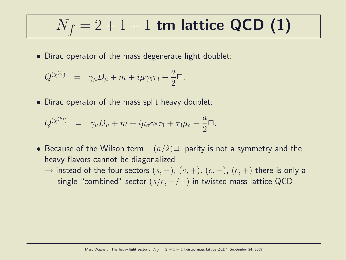$$
N_f = 2 + 1 + 1
$$
tm lattice QCD (1)

• Dirac operator of the mass degenerate light doublet:

$$
Q^{(\chi^{(l)})} = \gamma_{\mu} D_{\mu} + m + i \mu \gamma_5 \tau_3 - \frac{a}{2} \Box.
$$

• Dirac operator of the mass split heavy doublet:

$$
Q^{(\chi^{(h)})} = \gamma_{\mu}D_{\mu} + m + i\mu_{\sigma}\gamma_5\tau_1 + \tau_3\mu_{\delta} - \frac{a}{2}\Box.
$$

- Because of the Wilson term  $-(a/2)$  $\Box$ , parity is not a symmetry and the heavy flavors cannot be diagonalized
	- → instead of the four sectors  $(s, -)$ ,  $(s, +)$ ,  $(c, -)$ ,  $(c, +)$  there is only a single "combined" sector  $(s/c, -/-)$  in twisted mass lattice QCD.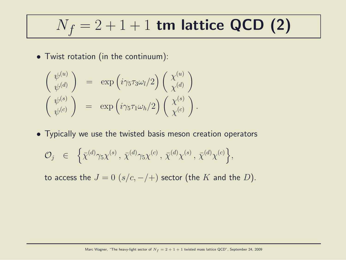$$
N_f = 2 + 1 + 1
$$
tm lattice QCD (2)

.

• Twist rotation (in the continuum):

$$
\begin{pmatrix}\n\psi^{(u)} \\
\psi^{(d)}\n\end{pmatrix} = \exp\left(i\gamma_5\tau_3\omega_l/2\right) \begin{pmatrix}\n\chi^{(u)} \\
\chi^{(d)}\n\end{pmatrix}
$$
\n
$$
\begin{pmatrix}\n\psi^{(s)} \\
\psi^{(c)}\n\end{pmatrix} = \exp\left(i\gamma_5\tau_1\omega_h/2\right) \begin{pmatrix}\n\chi^{(s)} \\
\chi^{(c)}\n\end{pmatrix}
$$

• Typically we use the twisted basis meson creation operators

$$
\mathcal{O}_j \quad \in \quad \left\{ \bar{\chi}^{(d)} \gamma_5 \chi^{(s)} \,,\, \bar{\chi}^{(d)} \gamma_5 \chi^{(c)} \,,\, \bar{\chi}^{(d)} \chi^{(s)} \,,\, \bar{\chi}^{(d)} \chi^{(c)} \right\},
$$

to access the  $J = 0$   $(s/c, -/-)$  sector (the K and the D).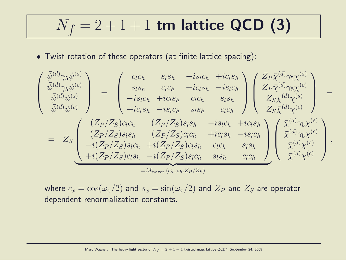# $N_f = 2 + 1 + 1$  tm lattice QCD (3)

• Twist rotation of these operators (at finite lattice spacing):

$$
\begin{pmatrix}\n\bar{\psi}^{(d)}\gamma_{5}\psi^{(s)} \\
\bar{\psi}^{(d)}\gamma_{5}\psi^{(c)} \\
\bar{\psi}^{(d)}\psi^{(s)}\n\end{pmatrix} = \begin{pmatrix}\nc_{l}c_{h} & s_{l}s_{h} & -is_{l}c_{h} +ic_{l}s_{h} \\
s_{l}s_{h} & c_{l}c_{h} +ic_{l}s_{h} & -is_{l}c_{h} \\
-i s_{l}c_{h} +ic_{l}s_{h} & c_{l}c_{h} & s_{l}s_{h} \\
+ic_{l}s_{h} -is_{l}c_{h} & s_{l}s_{h} & c_{l}c_{h}\n\end{pmatrix}\n\begin{pmatrix}\nZ_{P}\bar{\chi}^{(d)}\gamma_{5}\chi^{(s)} \\
Z_{P}\bar{\chi}^{(d)}\gamma_{5}\chi^{(c)} \\
Z_{S}\bar{\chi}^{(d)}\chi^{(s)}\n\end{pmatrix} = \nZ_{S}\begin{pmatrix}\n(Z_{P}/Z_{S})c_{l}c_{h} & (Z_{P}/Z_{S})s_{l}s_{h} & -is_{l}c_{h} +ic_{l}s_{h} \\
(Z_{P}/Z_{S})s_{l}s_{h} & (Z_{P}/Z_{S})c_{l}c_{h} & +ic_{l}s_{h} \\
-i(Z_{P}/Z_{S})s_{l}c_{h} +i(Z_{P}/Z_{S})c_{l}s_{h} & c_{l}c_{h} & s_{l}s_{h} \\
+i(Z_{P}/Z_{S})c_{l}s_{h} -i(Z_{P}/Z_{S})s_{l}c_{h} & s_{l}s_{h} & c_{l}c_{h}\n\end{pmatrix}\n\begin{pmatrix}\n\bar{\chi}^{(d)}\gamma_{5}\chi^{(s)} \\
\bar{\chi}^{(d)}\gamma_{5}\chi^{(c)} \\
\bar{\chi}^{(d)}\chi^{(s)}\n\end{pmatrix},
$$
\n
$$
= M_{\text{tw.rot.}}(\omega_{l},\omega_{h},Z_{P}/Z_{S})
$$

where  $c_x = \cos(\omega_x/2)$  and  $s_x = \sin(\omega_x/2)$  and  $Z_P$  and  $Z_S$  are operator dependent renormalization constants.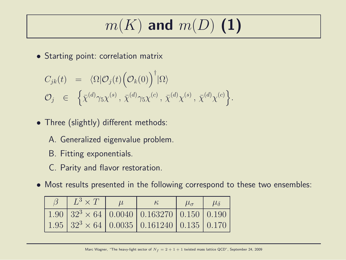$$
m(K) \text{ and } m(D) \text{ (1)}
$$

• Starting point: correlation matrix

$$
C_{jk}(t) = \langle \Omega | \mathcal{O}_j(t) (\mathcal{O}_k(0))^\dagger | \Omega \rangle
$$
  

$$
\mathcal{O}_j \in \left\{ \bar{\chi}^{(d)} \gamma_5 \chi^{(s)}, \bar{\chi}^{(d)} \gamma_5 \chi^{(c)}, \bar{\chi}^{(d)} \chi^{(s)}, \bar{\chi}^{(d)} \chi^{(c)} \right\}.
$$

- Three (slightly) different methods:
	- A. Generalized eigenvalue problem.
	- B. Fitting exponentials.
	- C. Parity and flavor restoration.
- Most results presented in the following correspond to these two ensembles:

| $\beta \quad L^3 \times T$ | $\kappa$                                                                   | $\mu_{\sigma}$ | $\mu_{\delta}$ |
|----------------------------|----------------------------------------------------------------------------|----------------|----------------|
|                            | $1.90 \mid 32^3 \times 64 \mid 0.0040 \mid 0.163270 \mid 0.150 \mid 0.190$ |                |                |
|                            | $1.95 \mid 32^3 \times 64 \mid 0.0035 \mid 0.161240 \mid 0.135 \mid 0.170$ |                |                |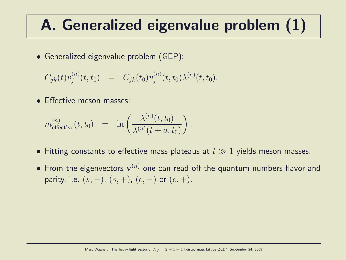## A. Generalized eigenvalue problem (1)

• Generalized eigenvalue problem (GEP):

$$
C_{jk}(t)v_j^{(n)}(t,t_0) = C_{jk}(t_0)v_j^{(n)}(t,t_0)\lambda^{(n)}(t,t_0).
$$

**• Effective meson masses:** 

$$
m_{\text{effective}}^{(n)}(t,t_0) = \ln \left( \frac{\lambda^{(n)}(t,t_0)}{\lambda^{(n)}(t+a,t_0)} \right).
$$

- Fitting constants to effective mass plateaus at  $t \gg 1$  yields meson masses.
- From the eigenvectors  $\mathbf{v}^{(n)}$  one can read off the quantum numbers flavor and parity, i.e.  $(s, -)$ ,  $(s, +)$ ,  $(c, -)$  or  $(c, +)$ .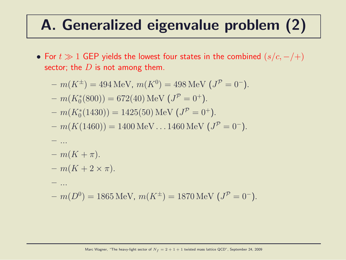# A. Generalized eigenvalue problem (2)

• For  $t \gg 1$  GEP yields the lowest four states in the combined  $(s/c, -/-)$ sector; the  $D$  is not among them.

$$
- m(K^{\pm}) = 494 \text{ MeV}, m(K^{0}) = 498 \text{ MeV} (J^{P} = 0^{-}).
$$
  
\n
$$
- m(K_{0}^{*}(800)) = 672(40) \text{ MeV} (J^{P} = 0^{+}).
$$
  
\n
$$
- m(K_{0}^{*}(1430)) = 1425(50) \text{ MeV} (J^{P} = 0^{+}).
$$
  
\n
$$
- m(K(1460)) = 1400 \text{ MeV} \dots 1460 \text{ MeV} (J^{P} = 0^{-}).
$$
  
\n
$$
- m(K + \pi).
$$
  
\n
$$
- m(K + 2 \times \pi).
$$
  
\n
$$
- m(D^{0}) = 1865 \text{ MeV}, m(K^{\pm}) = 1870 \text{ MeV} (J^{P} = 0^{-}).
$$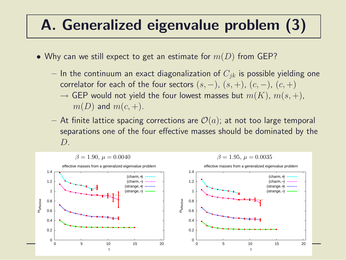## A. Generalized eigenvalue problem (3)

- Why can we still expect to get an estimate for  $m(D)$  from GEP?
	- In the continuum an exact diagonalization of  $C_{ik}$  is possible yielding one correlator for each of the four sectors  $(s, -)$ ,  $(s, +)$ ,  $(c, -)$ ,  $(c, +)$ 
		- $\rightarrow$  GEP would not yield the four lowest masses but  $m(K)$ ,  $m(s, +)$ ,  $m(D)$  and  $m(c, +)$ .
	- At finite lattice spacing corrections are  $\mathcal{O}(a)$ ; at not too large temporal separations one of the four effective masses should be dominated by the  $D$ .

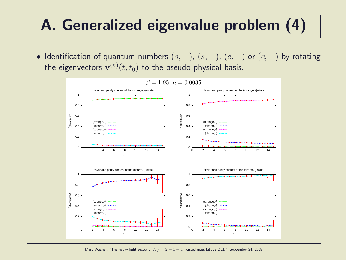## A. Generalized eigenvalue problem (4)

• Identification of quantum numbers  $(s, -)$ ,  $(s, +)$ ,  $(c, -)$  or  $(c, +)$  by rotating the eigenvectors  $\mathbf{v}^{(n)}(t,t_0)$  to the pseudo physical basis.



 $\beta = 1.95, \mu = 0.0035$ 

Marc Wagner, "The heavy-light sector of  $N_f = 2 + 1 + 1$  twisted mass lattice QCD", September 24, 2009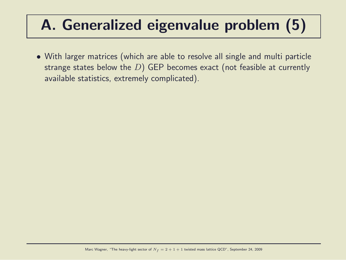# A. Generalized eigenvalue problem (5)

• With larger matrices (which are able to resolve all single and multi particle strange states below the  $D$ ) GEP becomes exact (not feasible at currently available statistics, extremely complicated).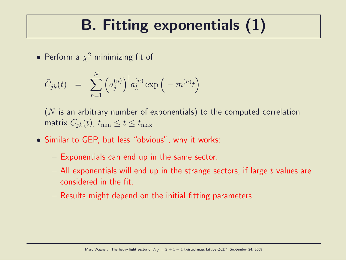## B. Fitting exponentials (1)

• Perform a  $\chi^2$  minimizing fit of

$$
\tilde{C}_{jk}(t) \;\; = \;\; \sum_{n=1}^N \Big( a_j^{(n)} \Big)^{\dagger} a_k^{(n)} \exp\Big( -m^{(n)} t \Big)
$$

 $(N$  is an arbitrary number of exponentials) to the computed correlation matrix  $C_{ik}(t)$ ,  $t_{\min} \le t \le t_{\max}$ .

- Similar to GEP, but less "obvious", why it works:
	- Exponentials can end up in the same sector.
	- $-$  All exponentials will end up in the strange sectors, if large t values are considered in the fit.
	- Results might depend on the initial fitting parameters.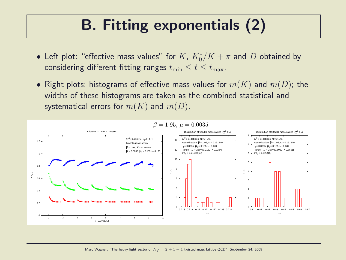## B. Fitting exponentials (2)

- Left plot: "effective mass values" for  $K$ ,  $K_0^*/K + \pi$  and  $D$  obtained by considering different fitting ranges  $t_{\min} \le t \le t_{\max}$ .
- Right plots: histograms of effective mass values for  $m(K)$  and  $m(D)$ ; the widths of these histograms are taken as the combined statistical and systematical errors for  $m(K)$  and  $m(D)$ .



#### $β = 1.95, μ = 0.0035$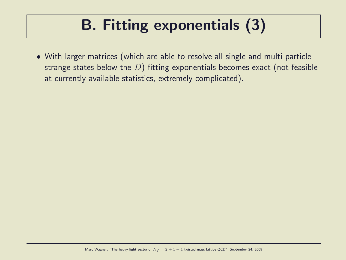## B. Fitting exponentials (3)

• With larger matrices (which are able to resolve all single and multi particle strange states below the  $D$ ) fitting exponentials becomes exact (not feasible at currently available statistics, extremely complicated).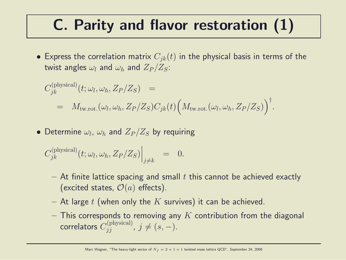#### C. Parity and flavor restoration (1)

• Express the correlation matrix  $C_{ik}(t)$  in the physical basis in terms of the twist angles  $\omega_l$  and  $\omega_h$  and  $Z_P/Z_S$ :

$$
C_{jk}^{(\text{physical})}(t; \omega_l, \omega_h, Z_P/Z_S) =
$$
  
=  $M_{\text{tw.rot.}}(\omega_l, \omega_h, Z_P/Z_S)C_{jk}(t) (M_{\text{tw.rot.}}(\omega_l, \omega_h, Z_P/Z_S))^{\dagger}.$ 

• Determine  $\omega_l$ ,  $\omega_h$  and  $Z_P/Z_S$  by requiring

$$
C_{jk}^{(\text{physical})}(t; \omega_l, \omega_h, Z_P/Z_S)\Big|_{j\neq k} = 0.
$$

- $-$  At finite lattice spacing and small t this cannot be achieved exactly (excited states,  $\mathcal{O}(a)$  effects).
- At large t (when only the K survives) it can be achieved.
- $-$  This corresponds to removing any K contribution from the diagonal correlators  $C_{jj}^{(\text{physical})}$ ,  $j \neq (s, -)$ .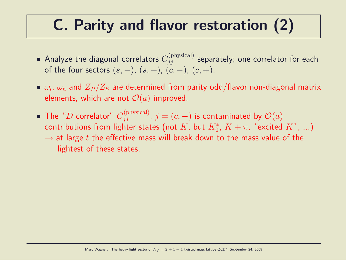#### C. Parity and flavor restoration (2)

- Analyze the diagonal correlators  $C_{jj}^{(\text{physical})}$  separately; one correlator for each of the four sectors  $(s, -)$ ,  $(s, +)$ ,  $(c, -)$ ,  $(c, +)$ .
- $\bullet$   $\omega_l$ ,  $\omega_h$  and  $Z_P/Z_S$  are determined from parity odd/flavor non-diagonal matrix elements, which are not  $\mathcal{O}(a)$  improved.
- The "D correlator"  $C_{jj}^{\text{(physical)}}$ ,  $j = (c, -)$  is contaminated by  $\mathcal{O}(a)$ contributions from lighter states (not  $K$ , but  $K^*_0$ ,  $K+\pi$ , "excited  $K$ ",  $...$ )  $\rightarrow$  at large t the effective mass will break down to the mass value of the lightest of these states.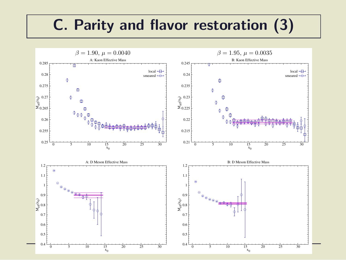#### C. Parity and flavor restoration (3)

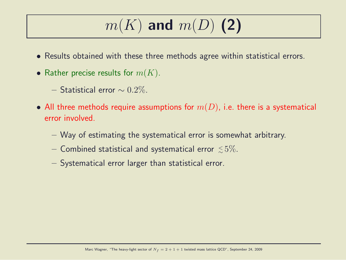# $m(K)$  and  $m(D)$  (2)

- Results obtained with these three methods agree within statistical errors.
- Rather precise results for  $m(K)$ .
	- $-$  Statistical error  $\sim 0.2\%$ .
- All three methods require assumptions for  $m(D)$ , i.e. there is a systematical error involved.
	- Way of estimating the systematical error is somewhat arbitrary.
	- $-$  Combined statistical and systematical error  $\lesssim\!5\%$ .
	- Systematical error larger than statistical error.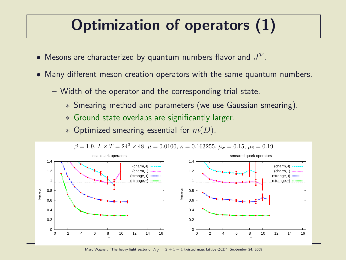## Optimization of operators (1)

- $\bullet$  Mesons are characterized by quantum numbers flavor and  $J^{\mathcal{P}}.$
- Many different meson creation operators with the same quantum numbers.
	- Width of the operator and the corresponding trial state.
		- ∗ Smearing method and parameters (we use Gaussian smearing).
		- ∗ Ground state overlaps are significantly larger.
		- $*$  Optimized smearing essential for  $m(D)$ .

![](_page_19_Figure_7.jpeg)

Marc Wagner, "The heavy-light sector of  $N_f = 2 + 1 + 1$  twisted mass lattice QCD", September 24, 2009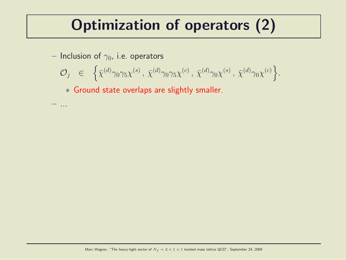## Optimization of operators (2)

– Inclusion of  $\gamma_0$ , i.e. operators

– ...

$$
\mathcal{O}_j \quad \in \quad \left\{ \bar{\chi}^{(d)} \gamma_0 \gamma_5 \chi^{(s)} \, , \, \bar{\chi}^{(d)} \gamma_0 \gamma_5 \chi^{(c)} \, , \, \bar{\chi}^{(d)} \gamma_0 \chi^{(s)} \, , \, \bar{\chi}^{(d)} \gamma_0 \chi^{(c)} \right\}.
$$

∗ Ground state overlaps are slightly smaller.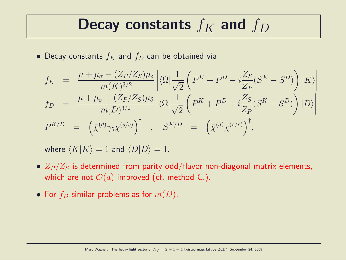#### Decay constants  $f_K$  and  $f_D$

• Decay constants  $f_K$  and  $f_D$  can be obtained via

$$
f_K = \frac{\mu + \mu_{\sigma} - (Z_P/Z_S)\mu_{\delta}}{m(K)^{3/2}} \left| \langle \Omega | \frac{1}{\sqrt{2}} \left( P^K + P^D - i \frac{Z_S}{Z_P} (S^K - S^D) \right) | K \rangle \right|
$$
  
\n
$$
f_D = \frac{\mu + \mu_{\sigma} + (Z_P/Z_S)\mu_{\delta}}{m(D)^{3/2}} \left| \langle \Omega | \frac{1}{\sqrt{2}} \left( P^K + P^D + i \frac{Z_S}{Z_P} (S^K - S^D) \right) | D \rangle \right|
$$
  
\n
$$
P^{K/D} = \left( \bar{\chi}^{(d)} \gamma_5 \chi^{(s/c)} \right)^{\dagger}, \quad S^{K/D} = \left( \bar{\chi}^{(d)} \chi^{(s/c)} \right)^{\dagger},
$$

where  $\langle K|K \rangle = 1$  and  $\langle D|D \rangle = 1$ .

- $Z_P/Z_S$  is determined from parity odd/flavor non-diagonal matrix elements, which are not  $\mathcal{O}(a)$  improved (cf. method C.).
- For  $f_D$  similar problems as for  $m(D)$ .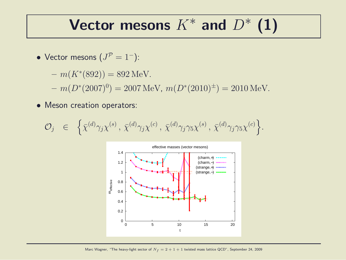#### Vector mesons  $K^*$  and  $D^*$  (1)

- Vector mesons  $(J^P = 1^-)$ :
	- $m(K^*(892)) = 892 \,\text{MeV}.$

 $- m(D^*(2007)^0) = 2007 \,\text{MeV}, m(D^*(2010)^{\pm}) = 2010 \,\text{MeV}.$ 

• Meson creation operators:

$$
\mathcal{O}_j \quad \in \quad \left\{ \bar{\chi}^{(d)} \gamma_j \chi^{(s)} \,, \, \bar{\chi}^{(d)} \gamma_j \chi^{(c)} \,, \, \bar{\chi}^{(d)} \gamma_j \gamma_5 \chi^{(s)} \,, \, \bar{\chi}^{(d)} \gamma_j \gamma_5 \chi^{(c)} \right\}.
$$

![](_page_22_Figure_6.jpeg)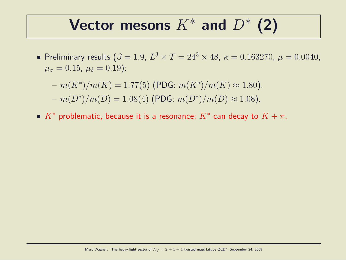## Vector mesons  $K^*$  and  $D^*$  (2)

• Preliminary results  $(\beta = 1.9, L^3 \times T = 24^3 \times 48, \kappa = 0.163270, \mu = 0.0040,$  $\mu_{\sigma} = 0.15, \ \mu_{\delta} = 0.19$ ):

$$
- m(K^*)/m(K) = 1.77(5) \text{ (PDG: } m(K^*)/m(K) \approx 1.80).
$$
  

$$
- m(D^*)/m(D) = 1.08(4) \text{ (PDG: } m(D^*)/m(D) \approx 1.08).
$$

 $\bullet$   $K^*$  problematic, because it is a resonance:  $K^*$  can decay to  $K+\pi.$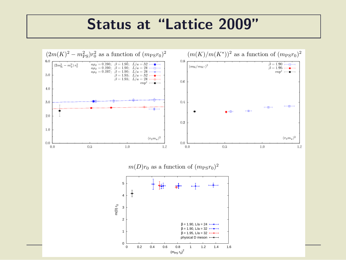#### Status at "Lattice 2009"

![](_page_24_Figure_1.jpeg)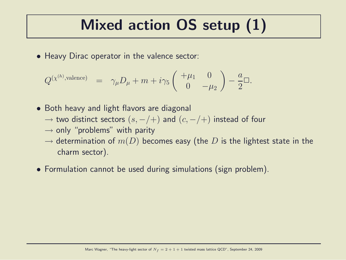#### Mixed action OS setup (1)

• Heavy Dirac operator in the valence sector:

$$
Q^{(\chi^{(h)}, \text{valence})} = \gamma_{\mu} D_{\mu} + m + i \gamma_5 \begin{pmatrix} +\mu_1 & 0 \\ 0 & -\mu_2 \end{pmatrix} - \frac{a}{2} \Box.
$$

- Both heavy and light flavors are diagonal
	- $→$  two distinct sectors  $(s, -/+)$  and  $(c, -/+)$  instead of four
	- $\rightarrow$  only "problems" with parity
	- $\rightarrow$  determination of  $m(D)$  becomes easy (the D is the lightest state in the charm sector).
- Formulation cannot be used during simulations (sign problem).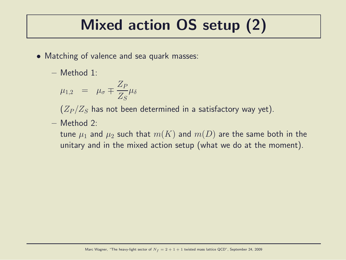## Mixed action OS setup (2)

- Matching of valence and sea quark masses:
	- Method 1:

$$
\mu_{1,2} = \mu_{\sigma} \mp \frac{Z_P}{Z_S} \mu_{\delta}
$$

 $(Z_P/Z_S)$  has not been determined in a satisfactory way yet).

– Method 2:

tune  $\mu_1$  and  $\mu_2$  such that  $m(K)$  and  $m(D)$  are the same both in the unitary and in the mixed action setup (what we do at the moment).